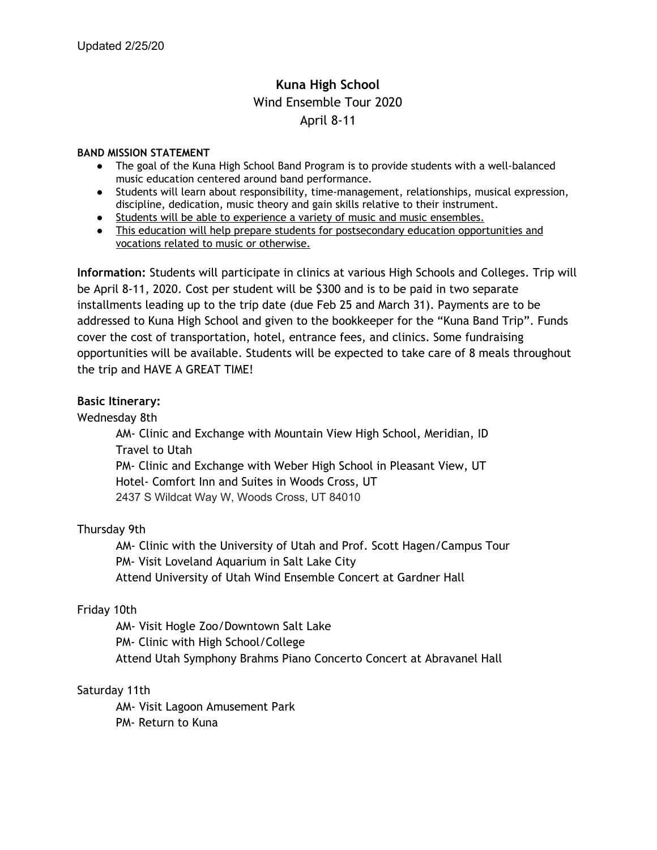## **Kuna High School** Wind Ensemble Tour 2020 April 8-11

### **BAND MISSION STATEMENT**

- The goal of the Kuna High School Band Program is to provide students with a well-balanced music education centered around band performance.
- Students will learn about responsibility, time-management, relationships, musical expression, discipline, dedication, music theory and gain skills relative to their instrument.
- Students will be able to experience a variety of music and music ensembles.
- This education will help prepare students for postsecondary education opportunities and vocations related to music or otherwise.

**Information:** Students will participate in clinics at various High Schools and Colleges. Trip will be April 8-11, 2020. Cost per student will be \$300 and is to be paid in two separate installments leading up to the trip date (due Feb 25 and March 31). Payments are to be addressed to Kuna High School and given to the bookkeeper for the "Kuna Band Trip". Funds cover the cost of transportation, hotel, entrance fees, and clinics. Some fundraising opportunities will be available. Students will be expected to take care of 8 meals throughout the trip and HAVE A GREAT TIME!

## **Basic Itinerary:**

Wednesday 8th

AM- Clinic and Exchange with Mountain View High School, Meridian, ID Travel to Utah PM- Clinic and Exchange with Weber High School in Pleasant View, UT Hotel- Comfort Inn and Suites in Woods Cross, UT 2437 S Wildcat Way W, Woods Cross, UT 84010

## Thursday 9th

AM- Clinic with the University of Utah and Prof. Scott Hagen/Campus Tour PM- Visit Loveland Aquarium in Salt Lake City Attend University of Utah Wind Ensemble Concert at Gardner Hall

## Friday 10th

AM- Visit Hogle Zoo/Downtown Salt Lake PM- Clinic with High School/College Attend Utah Symphony Brahms Piano Concerto Concert at Abravanel Hall

## Saturday 11th

AM- Visit Lagoon Amusement Park

PM- Return to Kuna